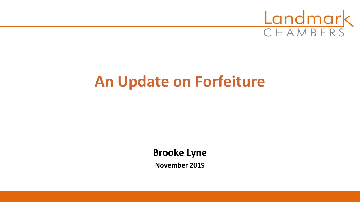

# **An Update on Forfeiture**

**Brooke Lyne**

**November 2019**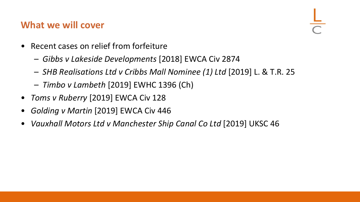## **What we will cover**

- Recent cases on relief from forfeiture
	- *Gibbs v Lakeside Developments* [2018] EWCA Civ 2874
	- *SHB Realisations Ltd v Cribbs Mall Nominee (1) Ltd* [2019] L. & T.R. 25
	- *Timbo v Lambeth* [2019] EWHC 1396 (Ch)
- *Toms v Ruberry* [2019] EWCA Civ 128
- *Golding v Martin* [2019] EWCA Civ 446
- *Vauxhall Motors Ltd v Manchester Ship Canal Co Ltd* [2019] UKSC 46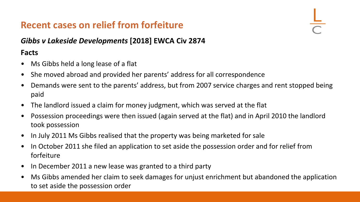### *Gibbs v Lakeside Developments* **[2018] EWCA Civ 2874**

- Ms Gibbs held a long lease of a flat
- She moved abroad and provided her parents' address for all correspondence
- Demands were sent to the parents' address, but from 2007 service charges and rent stopped being paid
- The landlord issued a claim for money judgment, which was served at the flat
- Possession proceedings were then issued (again served at the flat) and in April 2010 the landlord took possession
- In July 2011 Ms Gibbs realised that the property was being marketed for sale
- In October 2011 she filed an application to set aside the possession order and for relief from forfeiture
- In December 2011 a new lease was granted to a third party
- Ms Gibbs amended her claim to seek damages for unjust enrichment but abandoned the application to set aside the possession order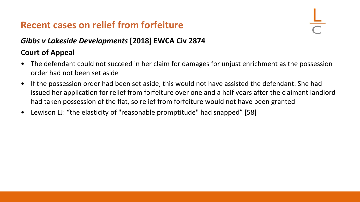### *Gibbs v Lakeside Developments* **[2018] EWCA Civ 2874**

- The defendant could not succeed in her claim for damages for unjust enrichment as the possession order had not been set aside
- If the possession order had been set aside, this would not have assisted the defendant. She had issued her application for relief from forfeiture over one and a half years after the claimant landlord had taken possession of the flat, so relief from forfeiture would not have been granted
- Lewison LJ: "the elasticity of "reasonable promptitude" had snapped" [58]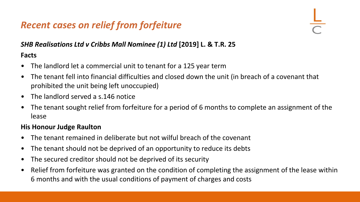### *SHB Realisations Ltd v Cribbs Mall Nominee (1) Ltd* **[2019] L. & T.R. 25**

### **Facts**

- The landlord let a commercial unit to tenant for a 125 year term
- The tenant fell into financial difficulties and closed down the unit (in breach of a covenant that prohibited the unit being left unoccupied)
- The landlord served a s.146 notice
- The tenant sought relief from forfeiture for a period of 6 months to complete an assignment of the lease

### **His Honour Judge Raulton**

- The tenant remained in deliberate but not wilful breach of the covenant
- The tenant should not be deprived of an opportunity to reduce its debts
- The secured creditor should not be deprived of its security
- Relief from forfeiture was granted on the condition of completing the assignment of the lease within 6 months and with the usual conditions of payment of charges and costs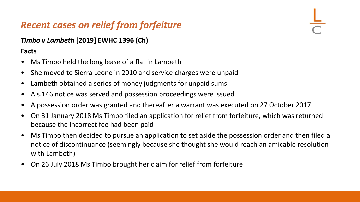### *Timbo v Lambeth* **[2019] EWHC 1396 (Ch)**

- Ms Timbo held the long lease of a flat in Lambeth
- She moved to Sierra Leone in 2010 and service charges were unpaid
- Lambeth obtained a series of money judgments for unpaid sums
- A s.146 notice was served and possession proceedings were issued
- A possession order was granted and thereafter a warrant was executed on 27 October 2017
- On 31 January 2018 Ms Timbo filed an application for relief from forfeiture, which was returned because the incorrect fee had been paid
- Ms Timbo then decided to pursue an application to set aside the possession order and then filed a notice of discontinuance (seemingly because she thought she would reach an amicable resolution with Lambeth)
- On 26 July 2018 Ms Timbo brought her claim for relief from forfeiture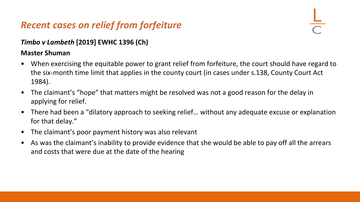### *Timbo v Lambeth* **[2019] EWHC 1396 (Ch)**

### **Master Shuman**

- When exercising the equitable power to grant relief from forfeiture, the court should have regard to the six-month time limit that applies in the county court (in cases under s.138, County Court Act 1984).
- The claimant's "hope" that matters might be resolved was not a good reason for the delay in applying for relief.
- There had been a "dilatory approach to seeking relief… without any adequate excuse or explanation for that delay."
- The claimant's poor payment history was also relevant
- As was the claimant's inability to provide evidence that she would be able to pay off all the arrears and costs that were due at the date of the hearing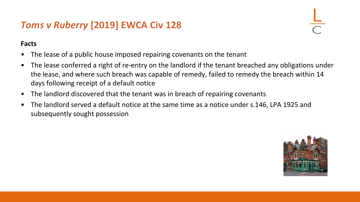## *Toms v Ruberry* **[2019] EWCA Civ 128**

- The lease of a public house imposed repairing covenants on the tenant
- The lease conferred a right of re-entry on the landlord if the tenant breached any obligations under the lease, and where such breach was capable of remedy, failed to remedy the breach within 14 days following receipt of a default notice
- The landlord discovered that the tenant was in breach of repairing covenants
- The landlord served a default notice at the same time as a notice under s.146, LPA 1925 and subsequently sought possession

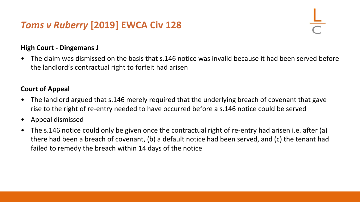## *Toms v Ruberry* **[2019] EWCA Civ 128**

### **High Court - Dingemans J**

• The claim was dismissed on the basis that s.146 notice was invalid because it had been served before the landlord's contractual right to forfeit had arisen

- The landlord argued that s.146 merely required that the underlying breach of covenant that gave rise to the right of re-entry needed to have occurred before a s.146 notice could be served
- Appeal dismissed
- The s.146 notice could only be given once the contractual right of re-entry had arisen i.e. after (a) there had been a breach of covenant, (b) a default notice had been served, and (c) the tenant had failed to remedy the breach within 14 days of the notice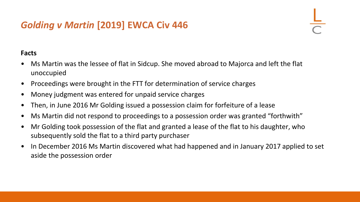## *Golding v Martin* **[2019] EWCA Civ 446**

- Ms Martin was the lessee of flat in Sidcup. She moved abroad to Majorca and left the flat unoccupied
- Proceedings were brought in the FTT for determination of service charges
- Money judgment was entered for unpaid service charges
- Then, in June 2016 Mr Golding issued a possession claim for forfeiture of a lease
- Ms Martin did not respond to proceedings to a possession order was granted "forthwith"
- Mr Golding took possession of the flat and granted a lease of the flat to his daughter, who subsequently sold the flat to a third party purchaser
- In December 2016 Ms Martin discovered what had happened and in January 2017 applied to set aside the possession order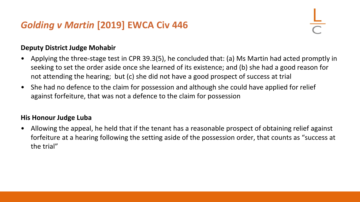## *Golding v Martin* **[2019] EWCA Civ 446**

### **Deputy District Judge Mohabir**

- Applying the three-stage test in CPR 39.3(5), he concluded that: (a) Ms Martin had acted promptly in seeking to set the order aside once she learned of its existence; and (b) she had a good reason for not attending the hearing; but (c) she did not have a good prospect of success at trial
- She had no defence to the claim for possession and although she could have applied for relief against forfeiture, that was not a defence to the claim for possession

### **His Honour Judge Luba**

• Allowing the appeal, he held that if the tenant has a reasonable prospect of obtaining relief against forfeiture at a hearing following the setting aside of the possession order, that counts as "success at the trial"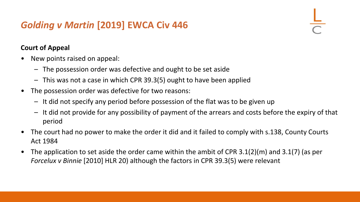## *Golding v Martin* **[2019] EWCA Civ 446**

- New points raised on appeal:
	- The possession order was defective and ought to be set aside
	- This was not a case in which CPR 39.3(5) ought to have been applied
- The possession order was defective for two reasons:
	- It did not specify any period before possession of the flat was to be given up
	- It did not provide for any possibility of payment of the arrears and costs before the expiry of that period
- The court had no power to make the order it did and it failed to comply with s.138, County Courts Act 1984
- The application to set aside the order came within the ambit of CPR 3.1(2)(m) and 3.1(7) (as per *Forcelux v Binnie* [2010] HLR 20) although the factors in CPR 39.3(5) were relevant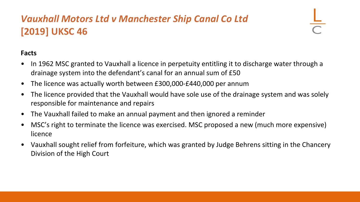## *Vauxhall Motors Ltd v Manchester Ship Canal Co Ltd*  **[2019] UKSC 46**

- In 1962 MSC granted to Vauxhall a licence in perpetuity entitling it to discharge water through a drainage system into the defendant's canal for an annual sum of £50
- The licence was actually worth between £300,000-£440,000 per annum
- The licence provided that the Vauxhall would have sole use of the drainage system and was solely responsible for maintenance and repairs
- The Vauxhall failed to make an annual payment and then ignored a reminder
- MSC's right to terminate the licence was exercised. MSC proposed a new (much more expensive) licence
- Vauxhall sought relief from forfeiture, which was granted by Judge Behrens sitting in the Chancery Division of the High Court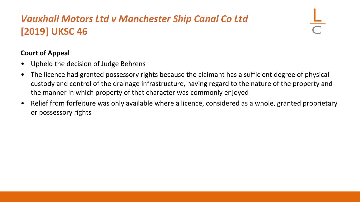## *Vauxhall Motors Ltd v Manchester Ship Canal Co Ltd*  **[2019] UKSC 46**

- Upheld the decision of Judge Behrens
- The licence had granted possessory rights because the claimant has a sufficient degree of physical custody and control of the drainage infrastructure, having regard to the nature of the property and the manner in which property of that character was commonly enjoyed
- Relief from forfeiture was only available where a licence, considered as a whole, granted proprietary or possessory rights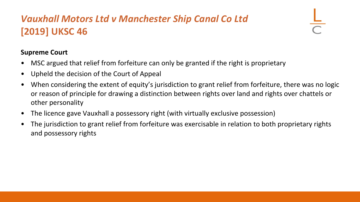## *Vauxhall Motors Ltd v Manchester Ship Canal Co Ltd*  **[2019] UKSC 46**

### **Supreme Court**

- MSC argued that relief from forfeiture can only be granted if the right is proprietary
- Upheld the decision of the Court of Appeal
- When considering the extent of equity's jurisdiction to grant relief from forfeiture, there was no logic or reason of principle for drawing a distinction between rights over land and rights over chattels or other personality
- The licence gave Vauxhall a possessory right (with virtually exclusive possession)
- The jurisdiction to grant relief from forfeiture was exercisable in relation to both proprietary rights and possessory rights